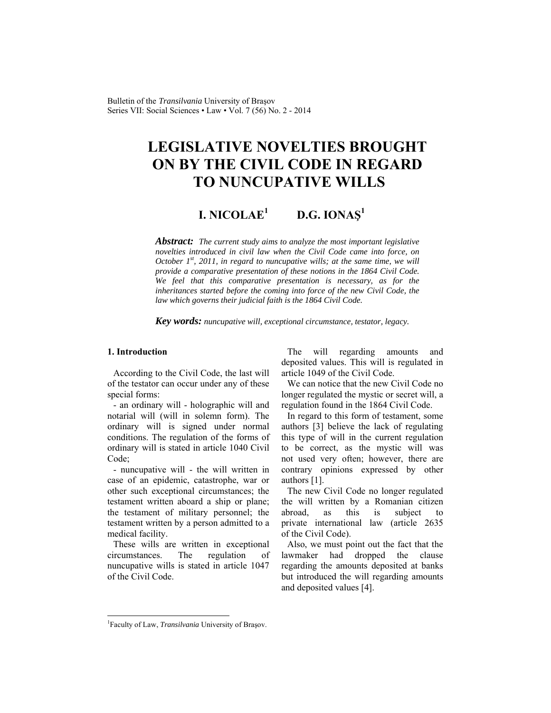Bulletin of the *Transilvania* University of Braşov Series VII: Social Sciences • Law • Vol. 7 (56) No. 2 - 2014

# **LEGISLATIVE NOVELTIES BROUGHT ON BY THE CIVIL CODE IN REGARD TO NUNCUPATIVE WILLS**

#### **I. NICOLAE<sup>1</sup> D.G. IONAŞ<sup>1</sup>**

*Abstract: The current study aims to analyze the most important legislative novelties introduced in civil law when the Civil Code came into force, on October 1st, 2011, in regard to nuncupative wills; at the same time, we will provide a comparative presentation of these notions in the 1864 Civil Code. We feel that this comparative presentation is necessary, as for the inheritances started before the coming into force of the new Civil Code, the law which governs their judicial faith is the 1864 Civil Code.* 

*Key words: nuncupative will, exceptional circumstance, testator, legacy.*

#### **1. Introduction**

According to the Civil Code, the last will of the testator can occur under any of these special forms:

- an ordinary will - holographic will and notarial will (will in solemn form). The ordinary will is signed under normal conditions. The regulation of the forms of ordinary will is stated in article 1040 Civil Code;

- nuncupative will - the will written in case of an epidemic, catastrophe, war or other such exceptional circumstances; the testament written aboard a ship or plane; the testament of military personnel; the testament written by a person admitted to a medical facility.

These wills are written in exceptional circumstances. The regulation of nuncupative wills is stated in article 1047 of the Civil Code.

The will regarding amounts and deposited values. This will is regulated in article 1049 of the Civil Code.

We can notice that the new Civil Code no longer regulated the mystic or secret will, a regulation found in the 1864 Civil Code.

In regard to this form of testament, some authors [3] believe the lack of regulating this type of will in the current regulation to be correct, as the mystic will was not used very often; however, there are contrary opinions expressed by other authors [1].

The new Civil Code no longer regulated the will written by a Romanian citizen abroad, as this is subject to private international law (article 2635 of the Civil Code).

Also, we must point out the fact that the lawmaker had dropped the clause regarding the amounts deposited at banks but introduced the will regarding amounts and deposited values [4].

 $\overline{a}$ 

<sup>&</sup>lt;sup>1</sup>Faculty of Law, *Transilvania* University of Brașov.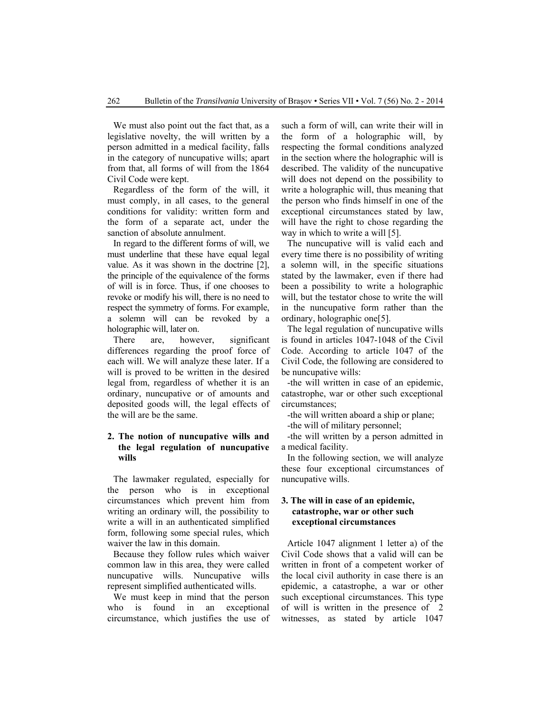We must also point out the fact that, as a legislative novelty, the will written by a person admitted in a medical facility, falls in the category of nuncupative wills; apart from that, all forms of will from the 1864 Civil Code were kept.

Regardless of the form of the will, it must comply, in all cases, to the general conditions for validity: written form and the form of a separate act, under the sanction of absolute annulment.

In regard to the different forms of will, we must underline that these have equal legal value. As it was shown in the doctrine [2], the principle of the equivalence of the forms of will is in force. Thus, if one chooses to revoke or modify his will, there is no need to respect the symmetry of forms. For example, a solemn will can be revoked by a holographic will, later on.

There are, however, significant differences regarding the proof force of each will. We will analyze these later. If a will is proved to be written in the desired legal from, regardless of whether it is an ordinary, nuncupative or of amounts and deposited goods will, the legal effects of the will are be the same.

# **2. The notion of nuncupative wills and the legal regulation of nuncupative wills**

The lawmaker regulated, especially for the person who is in exceptional circumstances which prevent him from writing an ordinary will, the possibility to write a will in an authenticated simplified form, following some special rules, which waiver the law in this domain.

Because they follow rules which waiver common law in this area, they were called nuncupative wills. Nuncupative wills represent simplified authenticated wills.

We must keep in mind that the person who is found in an exceptional circumstance, which justifies the use of such a form of will, can write their will in the form of a holographic will, by respecting the formal conditions analyzed in the section where the holographic will is described. The validity of the nuncupative will does not depend on the possibility to write a holographic will, thus meaning that the person who finds himself in one of the exceptional circumstances stated by law, will have the right to chose regarding the way in which to write a will [5].

The nuncupative will is valid each and every time there is no possibility of writing a solemn will, in the specific situations stated by the lawmaker, even if there had been a possibility to write a holographic will, but the testator chose to write the will in the nuncupative form rather than the ordinary, holographic one[5].

The legal regulation of nuncupative wills is found in articles 1047-1048 of the Civil Code. According to article 1047 of the Civil Code, the following are considered to be nuncupative wills:

-the will written in case of an epidemic, catastrophe, war or other such exceptional circumstances;

-the will written aboard a ship or plane;

-the will of military personnel;

-the will written by a person admitted in a medical facility.

In the following section, we will analyze these four exceptional circumstances of nuncupative wills.

# **3. The will in case of an epidemic, catastrophe, war or other such exceptional circumstances**

Article 1047 alignment 1 letter a) of the Civil Code shows that a valid will can be written in front of a competent worker of the local civil authority in case there is an epidemic, a catastrophe, a war or other such exceptional circumstances. This type of will is written in the presence of 2 witnesses, as stated by article 1047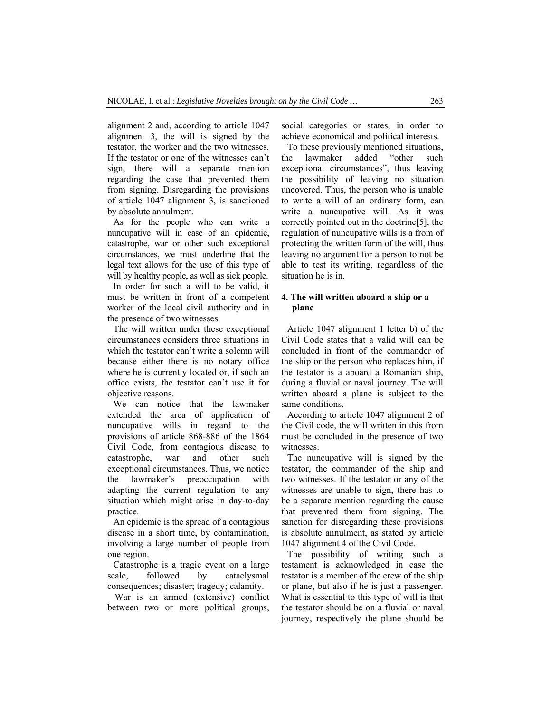alignment 2 and, according to article 1047 alignment 3, the will is signed by the testator, the worker and the two witnesses. If the testator or one of the witnesses can't sign, there will a separate mention regarding the case that prevented them from signing. Disregarding the provisions of article 1047 alignment 3, is sanctioned by absolute annulment.

As for the people who can write a nuncupative will in case of an epidemic, catastrophe, war or other such exceptional circumstances, we must underline that the legal text allows for the use of this type of will by healthy people, as well as sick people.

In order for such a will to be valid, it must be written in front of a competent worker of the local civil authority and in the presence of two witnesses.

The will written under these exceptional circumstances considers three situations in which the testator can't write a solemn will because either there is no notary office where he is currently located or, if such an office exists, the testator can't use it for objective reasons.

We can notice that the lawmaker extended the area of application of nuncupative wills in regard to the provisions of article 868-886 of the 1864 Civil Code, from contagious disease to catastrophe, war and other such exceptional circumstances. Thus, we notice the lawmaker's preoccupation with adapting the current regulation to any situation which might arise in day-to-day practice.

An epidemic is the spread of a contagious disease in a short time, by contamination, involving a large number of people from one region.

Catastrophe is a tragic event on a large scale, followed by cataclysmal consequences; disaster; tragedy; calamity.

 War is an armed (extensive) conflict between two or more political groups, social categories or states, in order to achieve economical and political interests.

To these previously mentioned situations, the lawmaker added "other such exceptional circumstances", thus leaving the possibility of leaving no situation uncovered. Thus, the person who is unable to write a will of an ordinary form, can write a nuncupative will. As it was correctly pointed out in the doctrine[5], the regulation of nuncupative wills is a from of protecting the written form of the will, thus leaving no argument for a person to not be able to test its writing, regardless of the situation he is in.

# **4. The will written aboard a ship or a plane**

Article 1047 alignment 1 letter b) of the Civil Code states that a valid will can be concluded in front of the commander of the ship or the person who replaces him, if the testator is a aboard a Romanian ship, during a fluvial or naval journey. The will written aboard a plane is subject to the same conditions.

According to article 1047 alignment 2 of the Civil code, the will written in this from must be concluded in the presence of two witnesses.

The nuncupative will is signed by the testator, the commander of the ship and two witnesses. If the testator or any of the witnesses are unable to sign, there has to be a separate mention regarding the cause that prevented them from signing. The sanction for disregarding these provisions is absolute annulment, as stated by article 1047 alignment 4 of the Civil Code.

The possibility of writing such a testament is acknowledged in case the testator is a member of the crew of the ship or plane, but also if he is just a passenger. What is essential to this type of will is that the testator should be on a fluvial or naval journey, respectively the plane should be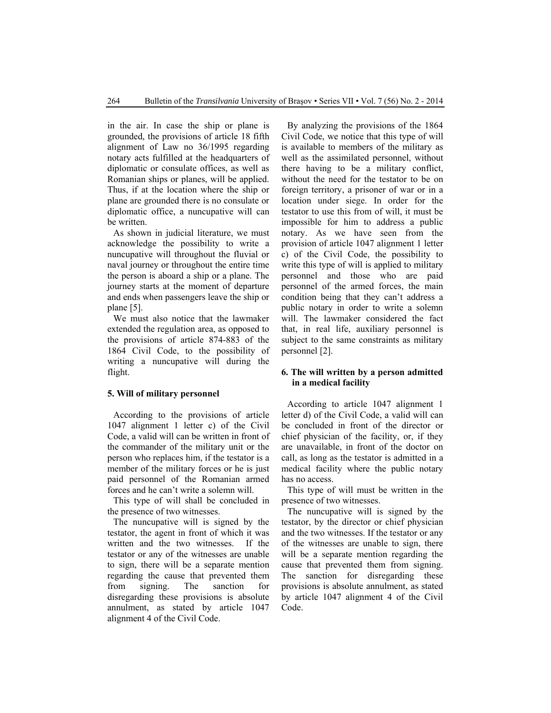in the air. In case the ship or plane is grounded, the provisions of article 18 fifth alignment of Law no 36/1995 regarding notary acts fulfilled at the headquarters of diplomatic or consulate offices, as well as Romanian ships or planes, will be applied. Thus, if at the location where the ship or plane are grounded there is no consulate or diplomatic office, a nuncupative will can be written.

As shown in judicial literature, we must acknowledge the possibility to write a nuncupative will throughout the fluvial or naval journey or throughout the entire time the person is aboard a ship or a plane. The journey starts at the moment of departure and ends when passengers leave the ship or plane [5].

We must also notice that the lawmaker extended the regulation area, as opposed to the provisions of article 874-883 of the 1864 Civil Code, to the possibility of writing a nuncupative will during the flight.

#### **5. Will of military personnel**

According to the provisions of article 1047 alignment 1 letter c) of the Civil Code, a valid will can be written in front of the commander of the military unit or the person who replaces him, if the testator is a member of the military forces or he is just paid personnel of the Romanian armed forces and he can't write a solemn will.

This type of will shall be concluded in the presence of two witnesses.

The nuncupative will is signed by the testator, the agent in front of which it was written and the two witnesses. If the testator or any of the witnesses are unable to sign, there will be a separate mention regarding the cause that prevented them from signing. The sanction for disregarding these provisions is absolute annulment, as stated by article 1047 alignment 4 of the Civil Code.

By analyzing the provisions of the 1864 Civil Code, we notice that this type of will is available to members of the military as well as the assimilated personnel, without there having to be a military conflict, without the need for the testator to be on foreign territory, a prisoner of war or in a location under siege. In order for the testator to use this from of will, it must be impossible for him to address a public notary. As we have seen from the provision of article 1047 alignment 1 letter c) of the Civil Code, the possibility to write this type of will is applied to military personnel and those who are paid personnel of the armed forces, the main condition being that they can't address a public notary in order to write a solemn will. The lawmaker considered the fact that, in real life, auxiliary personnel is subject to the same constraints as military personnel [2].

#### **6. The will written by a person admitted in a medical facility**

According to article 1047 alignment 1 letter d) of the Civil Code, a valid will can be concluded in front of the director or chief physician of the facility, or, if they are unavailable, in front of the doctor on call, as long as the testator is admitted in a medical facility where the public notary has no access.

This type of will must be written in the presence of two witnesses.

The nuncupative will is signed by the testator, by the director or chief physician and the two witnesses. If the testator or any of the witnesses are unable to sign, there will be a separate mention regarding the cause that prevented them from signing. The sanction for disregarding these provisions is absolute annulment, as stated by article 1047 alignment 4 of the Civil Code.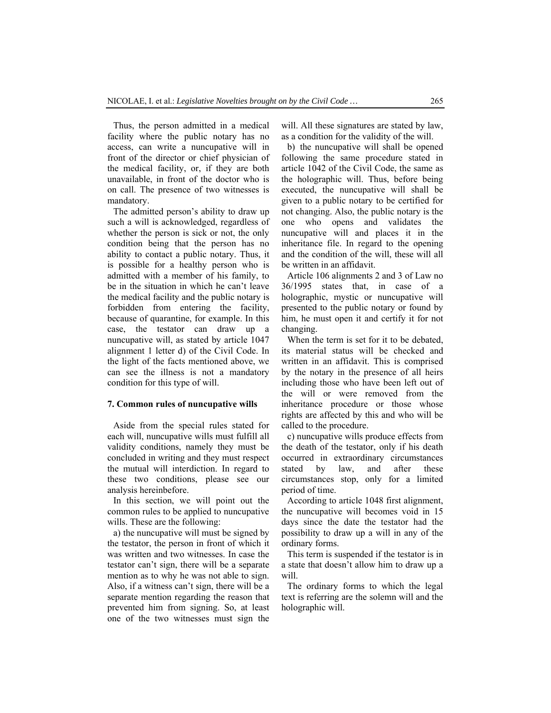Thus, the person admitted in a medical facility where the public notary has no access, can write a nuncupative will in front of the director or chief physician of the medical facility, or, if they are both unavailable, in front of the doctor who is on call. The presence of two witnesses is mandatory.

The admitted person's ability to draw up such a will is acknowledged, regardless of whether the person is sick or not, the only condition being that the person has no ability to contact a public notary. Thus, it is possible for a healthy person who is admitted with a member of his family, to be in the situation in which he can't leave the medical facility and the public notary is forbidden from entering the facility, because of quarantine, for example. In this case, the testator can draw up a nuncupative will, as stated by article 1047 alignment 1 letter d) of the Civil Code. In the light of the facts mentioned above, we can see the illness is not a mandatory condition for this type of will.

#### **7. Common rules of nuncupative wills**

Aside from the special rules stated for each will, nuncupative wills must fulfill all validity conditions, namely they must be concluded in writing and they must respect the mutual will interdiction. In regard to these two conditions, please see our analysis hereinbefore.

In this section, we will point out the common rules to be applied to nuncupative wills. These are the following:

a) the nuncupative will must be signed by the testator, the person in front of which it was written and two witnesses. In case the testator can't sign, there will be a separate mention as to why he was not able to sign. Also, if a witness can't sign, there will be a separate mention regarding the reason that prevented him from signing. So, at least one of the two witnesses must sign the will. All these signatures are stated by law, as a condition for the validity of the will.

b) the nuncupative will shall be opened following the same procedure stated in article 1042 of the Civil Code, the same as the holographic will. Thus, before being executed, the nuncupative will shall be given to a public notary to be certified for not changing. Also, the public notary is the one who opens and validates the nuncupative will and places it in the inheritance file. In regard to the opening and the condition of the will, these will all be written in an affidavit.

Article 106 alignments 2 and 3 of Law no 36/1995 states that, in case of a holographic, mystic or nuncupative will presented to the public notary or found by him, he must open it and certify it for not changing.

When the term is set for it to be debated, its material status will be checked and written in an affidavit. This is comprised by the notary in the presence of all heirs including those who have been left out of the will or were removed from the inheritance procedure or those whose rights are affected by this and who will be called to the procedure.

c) nuncupative wills produce effects from the death of the testator, only if his death occurred in extraordinary circumstances stated by law, and after these circumstances stop, only for a limited period of time.

According to article 1048 first alignment, the nuncupative will becomes void in 15 days since the date the testator had the possibility to draw up a will in any of the ordinary forms.

This term is suspended if the testator is in a state that doesn't allow him to draw up a will.

The ordinary forms to which the legal text is referring are the solemn will and the holographic will.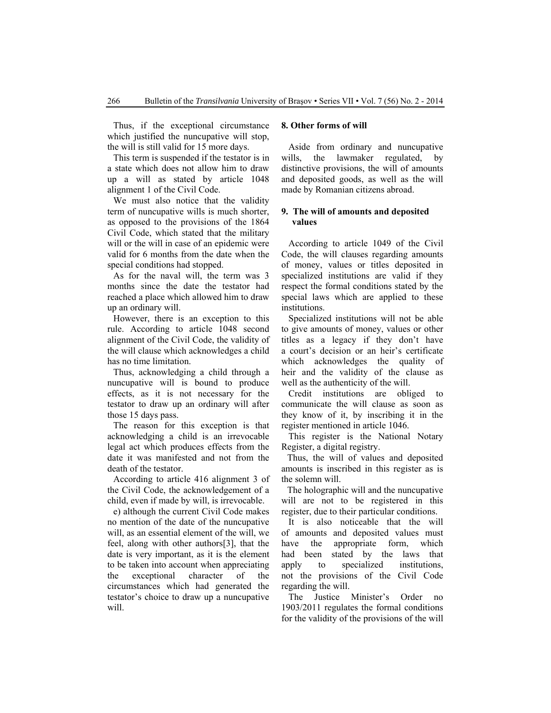Thus, if the exceptional circumstance which justified the nuncupative will stop, the will is still valid for 15 more days.

This term is suspended if the testator is in a state which does not allow him to draw up a will as stated by article 1048 alignment 1 of the Civil Code.

We must also notice that the validity term of nuncupative wills is much shorter, as opposed to the provisions of the 1864 Civil Code, which stated that the military will or the will in case of an epidemic were valid for 6 months from the date when the special conditions had stopped.

As for the naval will, the term was 3 months since the date the testator had reached a place which allowed him to draw up an ordinary will.

However, there is an exception to this rule. According to article 1048 second alignment of the Civil Code, the validity of the will clause which acknowledges a child has no time limitation.

Thus, acknowledging a child through a nuncupative will is bound to produce effects, as it is not necessary for the testator to draw up an ordinary will after those 15 days pass.

The reason for this exception is that acknowledging a child is an irrevocable legal act which produces effects from the date it was manifested and not from the death of the testator.

According to article 416 alignment 3 of the Civil Code, the acknowledgement of a child, even if made by will, is irrevocable.

e) although the current Civil Code makes no mention of the date of the nuncupative will, as an essential element of the will, we feel, along with other authors[3], that the date is very important, as it is the element to be taken into account when appreciating the exceptional character of the circumstances which had generated the testator's choice to draw up a nuncupative will.

#### **8. Other forms of will**

 Aside from ordinary and nuncupative wills, the lawmaker regulated, by distinctive provisions, the will of amounts and deposited goods, as well as the will made by Romanian citizens abroad.

#### **9. The will of amounts and deposited values**

 According to article 1049 of the Civil Code, the will clauses regarding amounts of money, values or titles deposited in specialized institutions are valid if they respect the formal conditions stated by the special laws which are applied to these institutions.

 Specialized institutions will not be able to give amounts of money, values or other titles as a legacy if they don't have a court's decision or an heir's certificate which acknowledges the quality of heir and the validity of the clause as well as the authenticity of the will.

 Credit institutions are obliged to communicate the will clause as soon as they know of it, by inscribing it in the register mentioned in article 1046.

 This register is the National Notary Register, a digital registry.

Thus, the will of values and deposited amounts is inscribed in this register as is the solemn will.

The holographic will and the nuncupative will are not to be registered in this register, due to their particular conditions.

 It is also noticeable that the will of amounts and deposited values must have the appropriate form, which had been stated by the laws that apply to specialized institutions, not the provisions of the Civil Code regarding the will.

 The Justice Minister's Order no 1903/2011 regulates the formal conditions for the validity of the provisions of the will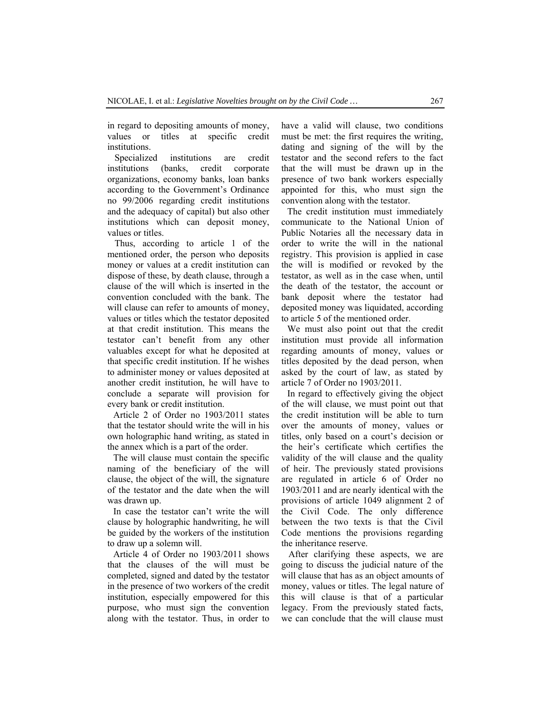in regard to depositing amounts of money, values or titles at specific credit institutions.

 Specialized institutions are credit institutions (banks, credit corporate organizations, economy banks, loan banks according to the Government's Ordinance no 99/2006 regarding credit institutions and the adequacy of capital) but also other institutions which can deposit money, values or titles.

 Thus, according to article 1 of the mentioned order, the person who deposits money or values at a credit institution can dispose of these, by death clause, through a clause of the will which is inserted in the convention concluded with the bank. The will clause can refer to amounts of money, values or titles which the testator deposited at that credit institution. This means the testator can't benefit from any other valuables except for what he deposited at that specific credit institution. If he wishes to administer money or values deposited at another credit institution, he will have to conclude a separate will provision for every bank or credit institution.

Article 2 of Order no 1903/2011 states that the testator should write the will in his own holographic hand writing, as stated in the annex which is a part of the order.

The will clause must contain the specific naming of the beneficiary of the will clause, the object of the will, the signature of the testator and the date when the will was drawn up.

In case the testator can't write the will clause by holographic handwriting, he will be guided by the workers of the institution to draw up a solemn will.

Article 4 of Order no 1903/2011 shows that the clauses of the will must be completed, signed and dated by the testator in the presence of two workers of the credit institution, especially empowered for this purpose, who must sign the convention along with the testator. Thus, in order to have a valid will clause, two conditions must be met: the first requires the writing, dating and signing of the will by the testator and the second refers to the fact that the will must be drawn up in the presence of two bank workers especially appointed for this, who must sign the convention along with the testator.

The credit institution must immediately communicate to the National Union of Public Notaries all the necessary data in order to write the will in the national registry. This provision is applied in case the will is modified or revoked by the testator, as well as in the case when, until the death of the testator, the account or bank deposit where the testator had deposited money was liquidated, according to article 5 of the mentioned order.

We must also point out that the credit institution must provide all information regarding amounts of money, values or titles deposited by the dead person, when asked by the court of law, as stated by article 7 of Order no 1903/2011.

In regard to effectively giving the object of the will clause, we must point out that the credit institution will be able to turn over the amounts of money, values or titles, only based on a court's decision or the heir's certificate which certifies the validity of the will clause and the quality of heir. The previously stated provisions are regulated in article 6 of Order no 1903/2011 and are nearly identical with the provisions of article 1049 alignment 2 of the Civil Code. The only difference between the two texts is that the Civil Code mentions the provisions regarding the inheritance reserve.

 After clarifying these aspects, we are going to discuss the judicial nature of the will clause that has as an object amounts of money, values or titles. The legal nature of this will clause is that of a particular legacy. From the previously stated facts, we can conclude that the will clause must